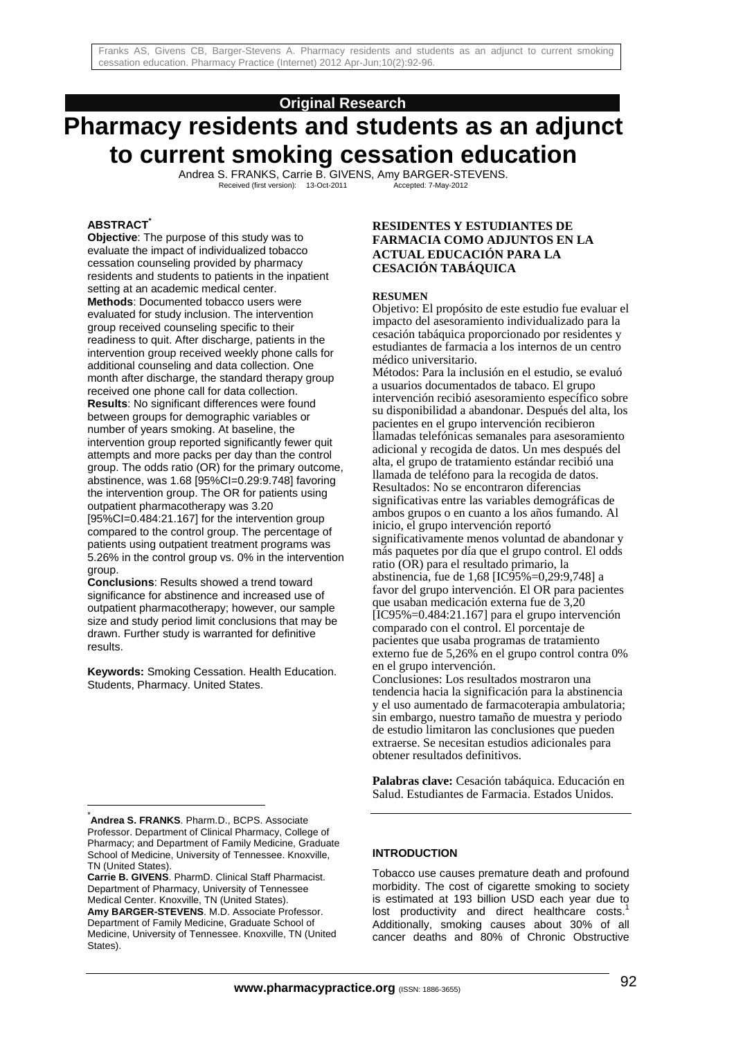## **Original Research**

# **Pharmacy residents and students as an adjunct to current smoking cessation education**

Andrea S. FRANKS, Carrie B. GIVENS, Amy BARGER-STEVENS.<br>Received (first version): 13-Oct-2011 Accepted: 7-May-2012 Received (first version): 13-Oct-2011

## **ABSTRACT\***

**Objective**: The purpose of this study was to evaluate the impact of individualized tobacco cessation counseling provided by pharmacy residents and students to patients in the inpatient setting at an academic medical center. **Methods**: Documented tobacco users were evaluated for study inclusion. The intervention group received counseling specific to their readiness to quit. After discharge, patients in the intervention group received weekly phone calls for additional counseling and data collection. One month after discharge, the standard therapy group received one phone call for data collection. **Results**: No significant differences were found between groups for demographic variables or number of years smoking. At baseline, the intervention group reported significantly fewer quit attempts and more packs per day than the control group. The odds ratio (OR) for the primary outcome, abstinence, was 1.68 [95%CI=0.29:9.748] favoring the intervention group. The OR for patients using outpatient pharmacotherapy was 3.20 [95%CI=0.484:21.167] for the intervention group compared to the control group. The percentage of patients using outpatient treatment programs was 5.26% in the control group vs. 0% in the intervention group.

**Conclusions**: Results showed a trend toward significance for abstinence and increased use of outpatient pharmacotherapy; however, our sample size and study period limit conclusions that may be drawn. Further study is warranted for definitive results.

**Keywords:** Smoking Cessation. Health Education. Students, Pharmacy. United States.

## **RESIDENTES Y ESTUDIANTES DE FARMACIA COMO ADJUNTOS EN LA ACTUAL EDUCACIÓN PARA LA CESACIÓN TABÁQUICA**

#### **RESUMEN**

Objetivo: El propósito de este estudio fue evaluar el impacto del asesoramiento individualizado para la cesación tabáquica proporcionado por residentes y estudiantes de farmacia a los internos de un centro médico universitario.

Métodos: Para la inclusión en el estudio, se evaluó a usuarios documentados de tabaco. El grupo intervención recibió asesoramiento específico sobre su disponibilidad a abandonar. Después del alta, los pacientes en el grupo intervención recibieron llamadas telefónicas semanales para asesoramiento adicional y recogida de datos. Un mes después del alta, el grupo de tratamiento estándar recibió una llamada de teléfono para la recogida de datos. Resultados: No se encontraron diferencias significativas entre las variables demográficas de ambos grupos o en cuanto a los años fumando. Al inicio, el grupo intervención reportó significativamente menos voluntad de abandonar y más paquetes por día que el grupo control. El odds ratio (OR) para el resultado primario, la abstinencia, fue de 1,68 [IC95%=0,29:9,748] a favor del grupo intervención. El OR para pacientes que usaban medicación externa fue de 3,20  $[IC95\% = 0.484:21.167]$  para el grupo intervención comparado con el control. El porcentaje de pacientes que usaba programas de tratamiento externo fue de 5,26% en el grupo control contra 0% en el grupo intervención. Conclusiones: Los resultados mostraron una

tendencia hacia la significación para la abstinencia y el uso aumentado de farmacoterapia ambulatoria; sin embargo, nuestro tamaño de muestra y periodo de estudio limitaron las conclusiones que pueden extraerse. Se necesitan estudios adicionales para obtener resultados definitivos.

**Palabras clave:** Cesación tabáquica. Educación en Salud. Estudiantes de Farmacia. Estados Unidos.

l

#### **INTRODUCTION**

Tobacco use causes premature death and profound morbidity. The cost of cigarette smoking to society is estimated at 193 billion USD each year due to lost productivity and direct healthcare costs.<sup>1</sup> Additionally, smoking causes about 30% of all cancer deaths and 80% of Chronic Obstructive

<sup>\*</sup> **Andrea S. FRANKS**. Pharm.D., BCPS. Associate Professor. Department of Clinical Pharmacy, College of Pharmacy; and Department of Family Medicine, Graduate School of Medicine, University of Tennessee. Knoxville, TN (United States).

**Carrie B. GIVENS**. PharmD. Clinical Staff Pharmacist. Department of Pharmacy, University of Tennessee Medical Center. Knoxville, TN (United States). **Amy BARGER-STEVENS**. M.D. Associate Professor. Department of Family Medicine, Graduate School of Medicine, University of Tennessee. Knoxville, TN (United States).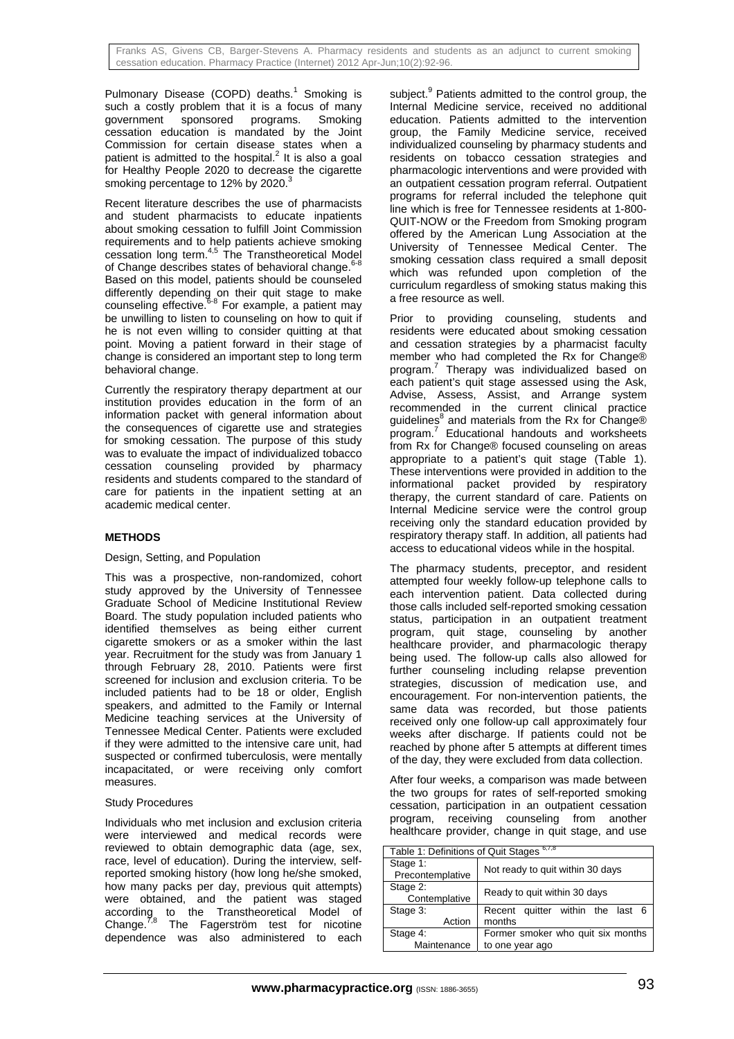Pulmonary Disease (COPD) deaths.<sup>1</sup> Smoking is such a costly problem that it is a focus of many<br>government sponsored programs. Smoking sponsored programs. Smoking cessation education is mandated by the Joint Commission for certain disease states when a patient is admitted to the hospital. $^2$  It is also a goal for Healthy People 2020 to decrease the cigarette smoking percentage to 12% by 2020.

Recent literature describes the use of pharmacists and student pharmacists to educate inpatients about smoking cessation to fulfill Joint Commission requirements and to help patients achieve smoking cessation long term.4,5 The Transtheoretical Model of Change describes states of behavioral change.<sup>6-8</sup> Based on this model, patients should be counseled differently depending on their quit stage to make counseling effective. $6-8}$  For example, a patient may be unwilling to listen to counseling on how to quit if he is not even willing to consider quitting at that point. Moving a patient forward in their stage of change is considered an important step to long term behavioral change.

Currently the respiratory therapy department at our institution provides education in the form of an information packet with general information about the consequences of cigarette use and strategies for smoking cessation. The purpose of this study was to evaluate the impact of individualized tobacco cessation counseling provided by pharmacy residents and students compared to the standard of care for patients in the inpatient setting at an academic medical center.

## **METHODS**

## Design, Setting, and Population

This was a prospective, non-randomized, cohort study approved by the University of Tennessee Graduate School of Medicine Institutional Review Board. The study population included patients who identified themselves as being either current cigarette smokers or as a smoker within the last year. Recruitment for the study was from January 1 through February 28, 2010. Patients were first screened for inclusion and exclusion criteria. To be included patients had to be 18 or older, English speakers, and admitted to the Family or Internal Medicine teaching services at the University of Tennessee Medical Center. Patients were excluded if they were admitted to the intensive care unit, had suspected or confirmed tuberculosis, were mentally incapacitated, or were receiving only comfort measures.

## Study Procedures

Individuals who met inclusion and exclusion criteria were interviewed and medical records were reviewed to obtain demographic data (age, sex, race, level of education). During the interview, selfreported smoking history (how long he/she smoked, how many packs per day, previous quit attempts) were obtained, and the patient was staged according to the Transtheoretical Model of Change.<sup>7,8</sup> The Fagerström test for nicotine dependence was also administered to each

subject.<sup>9</sup> Patients admitted to the control group, the Internal Medicine service, received no additional education. Patients admitted to the intervention group, the Family Medicine service, received individualized counseling by pharmacy students and residents on tobacco cessation strategies and pharmacologic interventions and were provided with an outpatient cessation program referral. Outpatient programs for referral included the telephone quit line which is free for Tennessee residents at 1-800- QUIT-NOW or the Freedom from Smoking program offered by the American Lung Association at the University of Tennessee Medical Center. The smoking cessation class required a small deposit which was refunded upon completion of the curriculum regardless of smoking status making this a free resource as well.

Prior to providing counseling, students and residents were educated about smoking cessation and cessation strategies by a pharmacist faculty member who had completed the Rx for Change® program.<sup>7</sup> Therapy was individualized based on each patient's quit stage assessed using the Ask, Advise, Assess, Assist, and Arrange system recommended in the current clinical practice guidelines<sup>8</sup> and materials from the Rx for Change® program.<sup>7</sup> Educational handouts and worksheets from Rx for Change® focused counseling on areas appropriate to a patient's quit stage (Table 1). These interventions were provided in addition to the informational packet provided by respiratory therapy, the current standard of care. Patients on Internal Medicine service were the control group receiving only the standard education provided by respiratory therapy staff. In addition, all patients had access to educational videos while in the hospital.

The pharmacy students, preceptor, and resident attempted four weekly follow-up telephone calls to each intervention patient. Data collected during those calls included self-reported smoking cessation status, participation in an outpatient treatment program, quit stage, counseling by another healthcare provider, and pharmacologic therapy being used. The follow-up calls also allowed for further counseling including relapse prevention strategies, discussion of medication use, and encouragement. For non-intervention patients, the same data was recorded, but those patients received only one follow-up call approximately four weeks after discharge. If patients could not be reached by phone after 5 attempts at different times of the day, they were excluded from data collection.

After four weeks, a comparison was made between the two groups for rates of self-reported smoking cessation, participation in an outpatient cessation program, receiving counseling from another healthcare provider, change in quit stage, and use

| 6,7,8<br>Table 1: Definitions of Quit Stages |                                     |  |  |  |  |
|----------------------------------------------|-------------------------------------|--|--|--|--|
| Stage 1:<br>Precontemplative                 | Not ready to quit within 30 days    |  |  |  |  |
| Stage 2:<br>Contemplative                    | Ready to quit within 30 days        |  |  |  |  |
| Stage 3:                                     | quitter within the last 6<br>Recent |  |  |  |  |
| Action                                       | months                              |  |  |  |  |
| Stage 4:                                     | Former smoker who quit six months   |  |  |  |  |
| Maintenance                                  | to one year ago                     |  |  |  |  |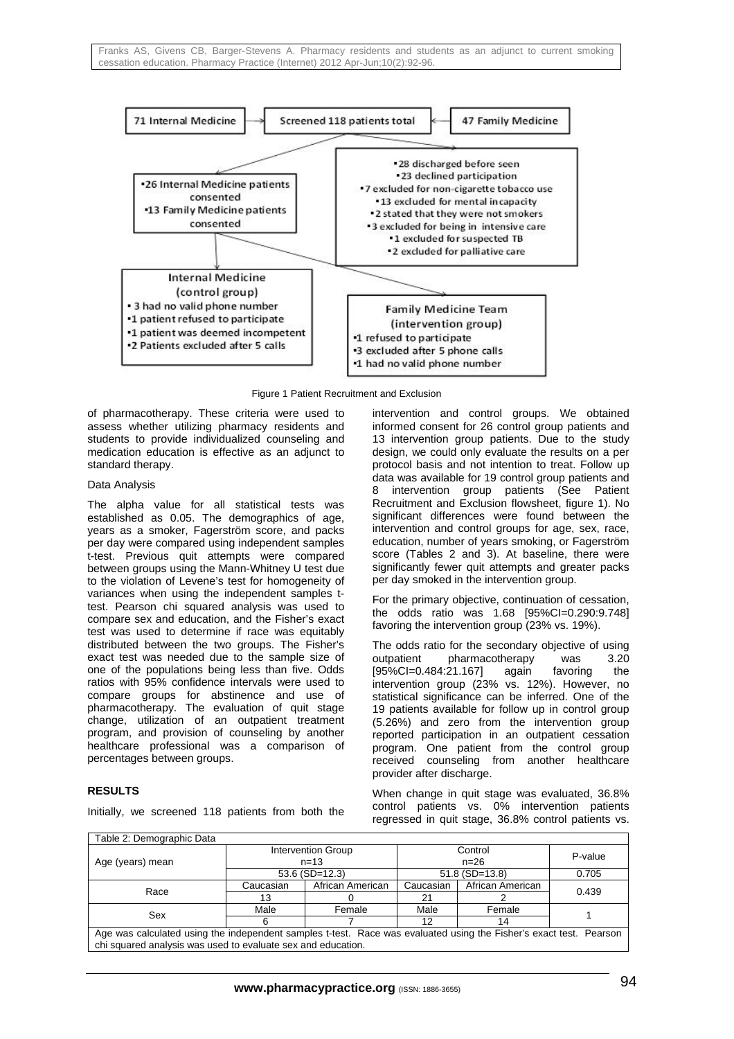

Figure 1 Patient Recruitment and Exclusion

of pharmacotherapy. These criteria were used to assess whether utilizing pharmacy residents and students to provide individualized counseling and medication education is effective as an adjunct to standard therapy.

#### Data Analysis

The alpha value for all statistical tests was established as 0.05. The demographics of age, years as a smoker, Fagerström score, and packs per day were compared using independent samples t-test. Previous quit attempts were compared between groups using the Mann-Whitney U test due to the violation of Levene's test for homogeneity of variances when using the independent samples ttest. Pearson chi squared analysis was used to compare sex and education, and the Fisher's exact test was used to determine if race was equitably distributed between the two groups. The Fisher's exact test was needed due to the sample size of one of the populations being less than five. Odds ratios with 95% confidence intervals were used to compare groups for abstinence and use of pharmacotherapy. The evaluation of quit stage change, utilization of an outpatient treatment program, and provision of counseling by another healthcare professional was a comparison of percentages between groups.

## **RESULTS**

Initially, we screened 118 patients from both the

intervention and control groups. We obtained informed consent for 26 control group patients and 13 intervention group patients. Due to the study design, we could only evaluate the results on a per protocol basis and not intention to treat. Follow up data was available for 19 control group patients and 8 intervention group patients (See Patient Recruitment and Exclusion flowsheet, figure 1). No significant differences were found between the intervention and control groups for age, sex, race, education, number of years smoking, or Fagerström score (Tables 2 and 3). At baseline, there were significantly fewer quit attempts and greater packs per day smoked in the intervention group.

For the primary objective, continuation of cessation, the odds ratio was 1.68 [95%CI=0.290:9.748] favoring the intervention group (23% vs. 19%).

The odds ratio for the secondary objective of using outpatient pharmacotherapy was 3.20 [95%CI=0.484:21.167] again favoring the intervention group (23% vs. 12%). However, no statistical significance can be inferred. One of the 19 patients available for follow up in control group (5.26%) and zero from the intervention group reported participation in an outpatient cessation program. One patient from the control group received counseling from another healthcare provider after discharge.

When change in quit stage was evaluated, 36.8% control patients vs. 0% intervention patients regressed in quit stage, 36.8% control patients vs.

| Table 2: Demographic Data                                                                                          |                                |                  |                     |                  |         |  |
|--------------------------------------------------------------------------------------------------------------------|--------------------------------|------------------|---------------------|------------------|---------|--|
| Age (years) mean                                                                                                   | Intervention Group<br>$n = 13$ |                  | Control<br>$n = 26$ |                  | P-value |  |
|                                                                                                                    | $53.6$ (SD=12.3)               |                  | $51.8$ (SD=13.8)    |                  | 0.705   |  |
| Race                                                                                                               | Caucasian                      | African American | Caucasian           | African American | 0.439   |  |
|                                                                                                                    | 13                             |                  | 21                  |                  |         |  |
| Sex                                                                                                                | Male                           | Female           | Male                | Female           |         |  |
|                                                                                                                    | 6                              |                  |                     | 14               |         |  |
| Age was calculated using the independent samples t-test. Race was evaluated using the Fisher's exact test. Pearson |                                |                  |                     |                  |         |  |
| chi squared analysis was used to evaluate sex and education.                                                       |                                |                  |                     |                  |         |  |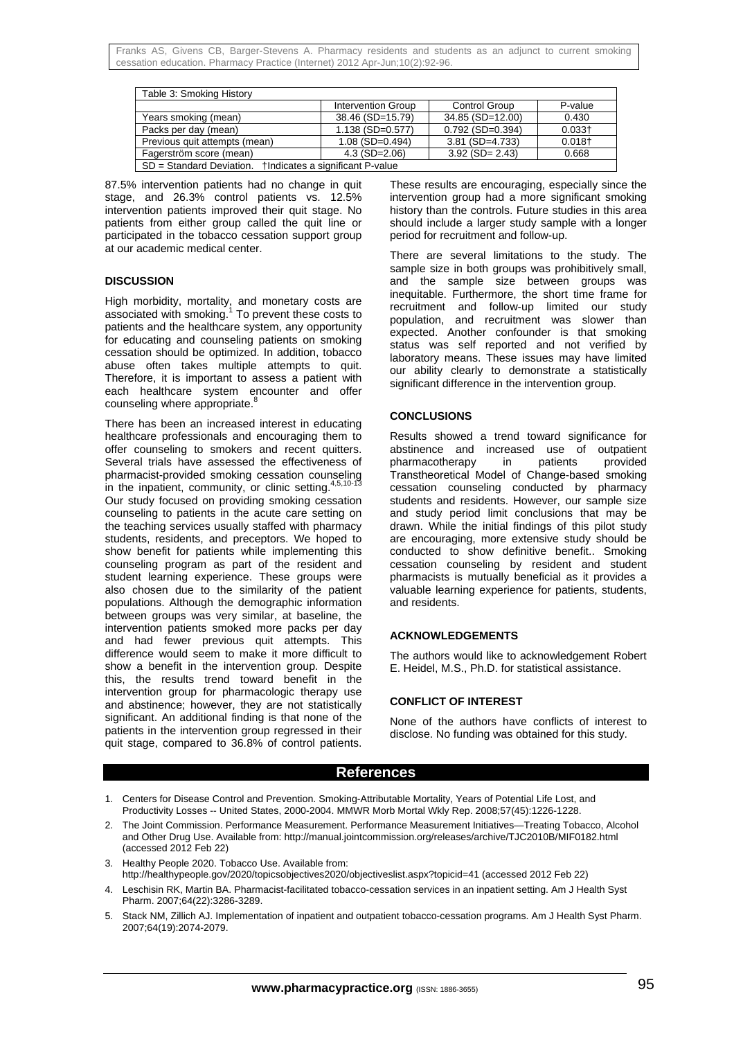Franks AS, Givens CB, Barger-Stevens A. Pharmacy residents and students as an adjunct to current smoking cessation education. Pharmacy Practice (Internet) 2012 Apr-Jun;10(2):92-96.

| Table 3: Smoking History                                        |                    |                        |           |  |  |  |
|-----------------------------------------------------------------|--------------------|------------------------|-----------|--|--|--|
|                                                                 | Intervention Group | <b>Control Group</b>   | P-value   |  |  |  |
| Years smoking (mean)                                            | 38.46 (SD=15.79)   | 34.85 (SD=12.00)       | 0.430     |  |  |  |
| Packs per day (mean)                                            | $1.138$ (SD=0.577) | $0.792$ (SD= $0.394$ ) | $0.033 +$ |  |  |  |
| Previous quit attempts (mean)                                   | $1.08$ (SD=0.494)  | $3.81$ (SD=4.733)      | $0.018+$  |  |  |  |
| Fagerström score (mean)                                         | $4.3$ (SD=2.06)    | $3.92$ (SD= 2.43)      | 0.668     |  |  |  |
| $SD = Standard Deviation$ .<br>tindicates a significant P-value |                    |                        |           |  |  |  |

87.5% intervention patients had no change in quit stage, and 26.3% control patients vs. 12.5% intervention patients improved their quit stage. No patients from either group called the quit line or participated in the tobacco cessation support group at our academic medical center.

#### **DISCUSSION**

High morbidity, mortality, and monetary costs are associated with smoking. $1$  To prevent these costs to patients and the healthcare system, any opportunity for educating and counseling patients on smoking cessation should be optimized. In addition, tobacco abuse often takes multiple attempts to quit. Therefore, it is important to assess a patient with each healthcare system encounter and offer counseling where appropriate.<sup>8</sup>

There has been an increased interest in educating healthcare professionals and encouraging them to offer counseling to smokers and recent quitters. Several trials have assessed the effectiveness of pharmacist-provided smoking cessation counseling in the inpatient, community, or clinic setting.<sup>4</sup> Our study focused on providing smoking cessation counseling to patients in the acute care setting on the teaching services usually staffed with pharmacy students, residents, and preceptors. We hoped to show benefit for patients while implementing this counseling program as part of the resident and student learning experience. These groups were also chosen due to the similarity of the patient populations. Although the demographic information between groups was very similar, at baseline, the intervention patients smoked more packs per day and had fewer previous quit attempts. This difference would seem to make it more difficult to show a benefit in the intervention group. Despite this, the results trend toward benefit in the intervention group for pharmacologic therapy use and abstinence; however, they are not statistically significant. An additional finding is that none of the patients in the intervention group regressed in their quit stage, compared to 36.8% of control patients.

These results are encouraging, especially since the intervention group had a more significant smoking history than the controls. Future studies in this area should include a larger study sample with a longer period for recruitment and follow-up.

There are several limitations to the study. The sample size in both groups was prohibitively small. and the sample size between groups was inequitable. Furthermore, the short time frame for recruitment and follow-up limited our study population, and recruitment was slower than expected. Another confounder is that smoking status was self reported and not verified by laboratory means. These issues may have limited our ability clearly to demonstrate a statistically significant difference in the intervention group.

#### **CONCLUSIONS**

Results showed a trend toward significance for abstinence and increased use of outpatient<br>pharmacotherapy in patients provided pharmacotherapy in patients provided Transtheoretical Model of Change-based smoking cessation counseling conducted by pharmacy students and residents. However, our sample size and study period limit conclusions that may be drawn. While the initial findings of this pilot study are encouraging, more extensive study should be conducted to show definitive benefit.. Smoking cessation counseling by resident and student pharmacists is mutually beneficial as it provides a valuable learning experience for patients, students, and residents.

#### **ACKNOWLEDGEMENTS**

The authors would like to acknowledgement Robert E. Heidel, M.S., Ph.D. for statistical assistance.

#### **CONFLICT OF INTEREST**

None of the authors have conflicts of interest to disclose. No funding was obtained for this study.

## **References**

- 1. Centers for Disease Control and Prevention. Smoking-Attributable Mortality, Years of Potential Life Lost, and Productivity Losses -- United States, 2000-2004. MMWR Morb Mortal Wkly Rep. 2008;57(45):1226-1228.
- 2. The Joint Commission. Performance Measurement. Performance Measurement Initiatives—Treating Tobacco, Alcohol and Other Drug Use. Available from: http://manual.jointcommission.org/releases/archive/TJC2010B/MIF0182.html (accessed 2012 Feb 22)
- 3. Healthy People 2020. Tobacco Use. Available from:
- http://healthypeople.gov/2020/topicsobjectives2020/objectiveslist.aspx?topicid=41 (accessed 2012 Feb 22)
- 4. Leschisin RK, Martin BA. Pharmacist-facilitated tobacco-cessation services in an inpatient setting. Am J Health Syst Pharm. 2007;64(22):3286-3289.
- 5. Stack NM, Zillich AJ. Implementation of inpatient and outpatient tobacco-cessation programs. Am J Health Syst Pharm. 2007;64(19):2074-2079.